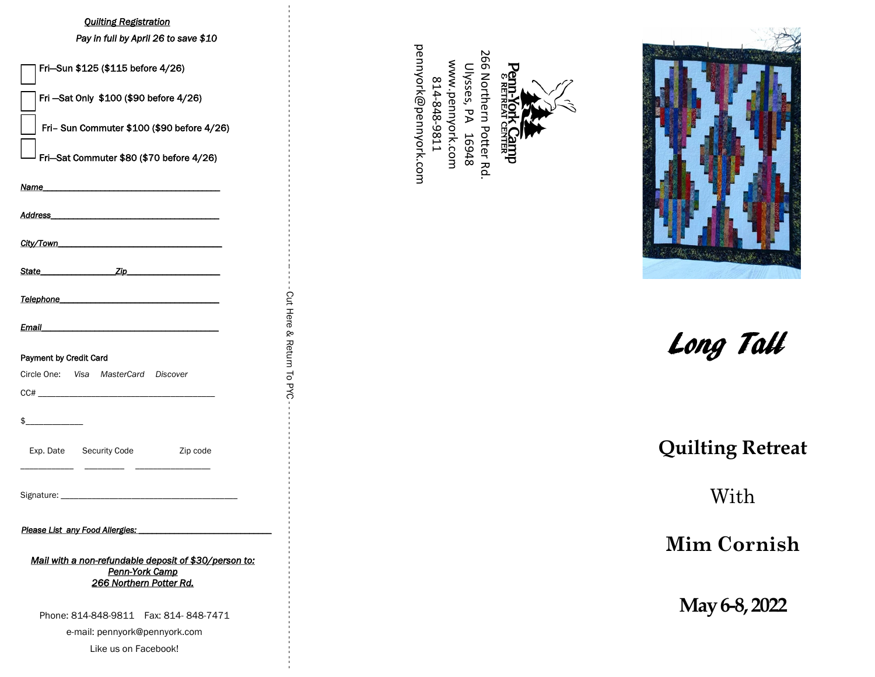## *Quilting Registration*

| <b>Quilting Registration</b><br>Pay in full by April 26 to save \$10<br>Fri-Sun \$125 (\$115 before 4/26)<br>Fri -Sat Only \$100 (\$90 before 4/26)<br>Fri- Sun Commuter \$100 (\$90 before 4/26)<br>Fri-Sat Commuter \$80 (\$70 before 4/26)<br>Name<br>Address_<br>City/Town<br><b>Example 2</b> <i>Zip</i><br>State______ | pennyork@pennyork.com<br>266 Northern<br>www.pennyork.com<br>Ulysses, PA<br>Penn:<br><sup>8 REI</sup><br>14-848-9811<br>Potter Rd<br>16948<br><b>REEP</b> |                       |
|------------------------------------------------------------------------------------------------------------------------------------------------------------------------------------------------------------------------------------------------------------------------------------------------------------------------------|-----------------------------------------------------------------------------------------------------------------------------------------------------------|-----------------------|
| Telephone<br>the control of the control of the control of the control of the control of the control of                                                                                                                                                                                                                       |                                                                                                                                                           |                       |
| Email<br>Payment by Credit Card<br>Circle One: Visa MasterCard Discover<br>$\begin{array}{c} \text{CC#} \end{array}$                                                                                                                                                                                                         | Cut Here<br>& Return To<br><b>PYC</b>                                                                                                                     | Long Tall             |
| \$<br>Exp. Date<br>Security Code<br>Zip code                                                                                                                                                                                                                                                                                 |                                                                                                                                                           | <b>Quilting Retre</b> |
| Signature: _                                                                                                                                                                                                                                                                                                                 |                                                                                                                                                           | With                  |
| Please List any Food Allergies:<br>Mail with a non-refundable deposit of \$30/person to:<br>Penn-York Camp                                                                                                                                                                                                                   |                                                                                                                                                           | <b>Mim Cornis</b>     |
| 266 Northern Potter Rd.<br>Phone: 814-848-9811  Fax: 814-848-7471<br>e-mail: pennyork@pennyork.com<br>Like us on Facebook!                                                                                                                                                                                                   |                                                                                                                                                           | May 6-8, 2022         |





Long Tall

# **Quilting Retreat**

# **Mim Cornish**